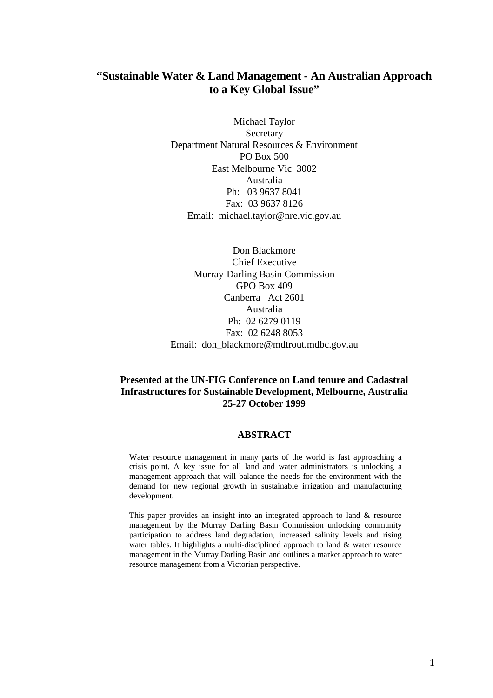# **"Sustainable Water & Land Management - An Australian Approach to a Key Global Issue"**

Michael Taylor Secretary Department Natural Resources & Environment PO Box 500 East Melbourne Vic 3002 Australia Ph: 03 9637 8041 Fax: 03 9637 8126 Email: michael.taylor@nre.vic.gov.au

Don Blackmore Chief Executive Murray-Darling Basin Commission GPO Box 409 Canberra Act 2601 Australia Ph: 02 6279 0119 Fax: 02 6248 8053 Email: don blackmore@mdtrout.mdbc.gov.au

#### **Presented at the UN-FIG Conference on Land tenure and Cadastral Infrastructures for Sustainable Development, Melbourne, Australia 25-27 October 1999**

#### **ABSTRACT**

Water resource management in many parts of the world is fast approaching a crisis point. A key issue for all land and water administrators is unlocking a management approach that will balance the needs for the environment with the demand for new regional growth in sustainable irrigation and manufacturing development.

This paper provides an insight into an integrated approach to land & resource management by the Murray Darling Basin Commission unlocking community participation to address land degradation, increased salinity levels and rising water tables. It highlights a multi-disciplined approach to land & water resource management in the Murray Darling Basin and outlines a market approach to water resource management from a Victorian perspective.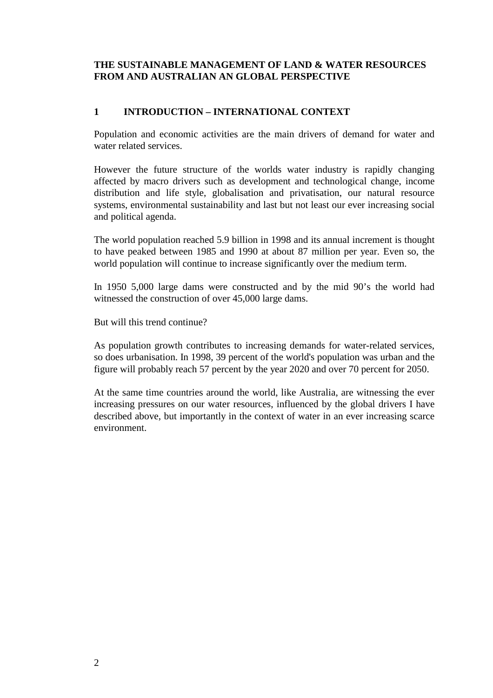### **THE SUSTAINABLE MANAGEMENT OF LAND & WATER RESOURCES FROM AND AUSTRALIAN AN GLOBAL PERSPECTIVE**

# **1 INTRODUCTION – INTERNATIONAL CONTEXT**

Population and economic activities are the main drivers of demand for water and water related services.

However the future structure of the worlds water industry is rapidly changing affected by macro drivers such as development and technological change, income distribution and life style, globalisation and privatisation, our natural resource systems, environmental sustainability and last but not least our ever increasing social and political agenda.

The world population reached 5.9 billion in 1998 and its annual increment is thought to have peaked between 1985 and 1990 at about 87 million per year. Even so, the world population will continue to increase significantly over the medium term.

In 1950 5,000 large dams were constructed and by the mid 90's the world had witnessed the construction of over 45,000 large dams.

But will this trend continue?

As population growth contributes to increasing demands for water-related services, so does urbanisation. In 1998, 39 percent of the world's population was urban and the figure will probably reach 57 percent by the year 2020 and over 70 percent for 2050.

At the same time countries around the world, like Australia, are witnessing the ever increasing pressures on our water resources, influenced by the global drivers I have described above, but importantly in the context of water in an ever increasing scarce environment.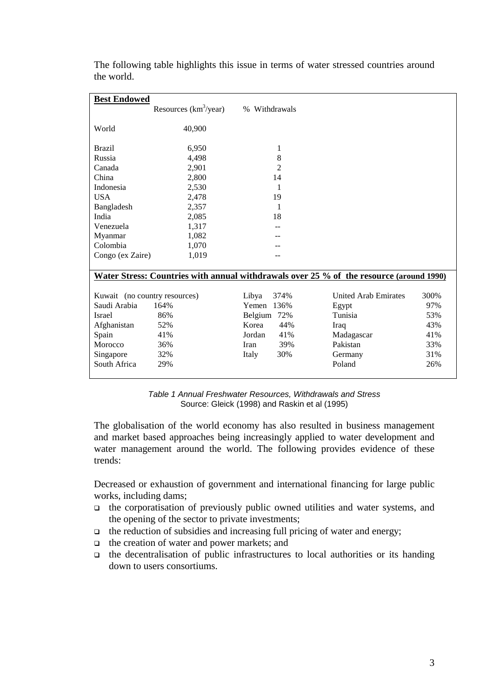| <b>Best Endowed</b>                                                                     |                          |                |                             |      |
|-----------------------------------------------------------------------------------------|--------------------------|----------------|-----------------------------|------|
|                                                                                         | Resources $(km^3$ /year) | % Withdrawals  |                             |      |
| World                                                                                   | 40,900                   |                |                             |      |
| <b>Brazil</b>                                                                           | 6,950                    | 1              |                             |      |
| Russia                                                                                  | 4,498                    | 8              |                             |      |
| Canada                                                                                  | 2,901                    | $\overline{2}$ |                             |      |
| China                                                                                   | 2,800                    | 14             |                             |      |
| Indonesia                                                                               | 2,530                    | 1              |                             |      |
| <b>USA</b>                                                                              | 2,478                    | 19             |                             |      |
| Bangladesh                                                                              | 2,357                    | 1              |                             |      |
| India                                                                                   | 2,085                    | 18             |                             |      |
| Venezuela                                                                               | 1,317                    |                |                             |      |
| Myanmar                                                                                 | 1,082                    |                |                             |      |
| Colombia                                                                                | 1,070                    |                |                             |      |
| Congo (ex Zaire)                                                                        | 1,019                    | --             |                             |      |
| Water Stress: Countries with annual withdrawals over 25 % of the resource (around 1990) |                          |                |                             |      |
| Kuwait (no country resources)                                                           |                          | Libya<br>374%  | <b>United Arab Emirates</b> | 300% |
| Saudi Arabia                                                                            | 164%                     | Yemen 136%     | Egypt                       | 97%  |
| <b>Israel</b>                                                                           | 86%                      | Belgium 72%    | Tunisia                     | 53%  |
| Afghanistan                                                                             | 52%                      | Korea<br>44%   | Iraq                        | 43%  |
| Spain                                                                                   | 41%                      | Jordan<br>41%  | Madagascar                  | 41%  |
| Morocco                                                                                 | 36%                      | 39%<br>Iran    | Pakistan                    | 33%  |
| Singapore                                                                               | 32%                      | 30%<br>Italy   | Germany                     | 31%  |
| South Africa                                                                            | 29%                      |                | Poland                      | 26%  |
|                                                                                         |                          |                |                             |      |

The following table highlights this issue in terms of water stressed countries around the world.

*Table 1 Annual Freshwater Resources, Withdrawals and Stress* Source: Gleick (1998) and Raskin et al (1995)

The globalisation of the world economy has also resulted in business management and market based approaches being increasingly applied to water development and water management around the world. The following provides evidence of these trends:

Decreased or exhaustion of government and international financing for large public works, including dams;

- $\Box$  the corporatisation of previously public owned utilities and water systems, and the opening of the sector to private investments;
- $\Box$  the reduction of subsidies and increasing full pricing of water and energy;
- $\Box$  the creation of water and power markets; and
- $\Box$  the decentralisation of public infrastructures to local authorities or its handing down to users consortiums.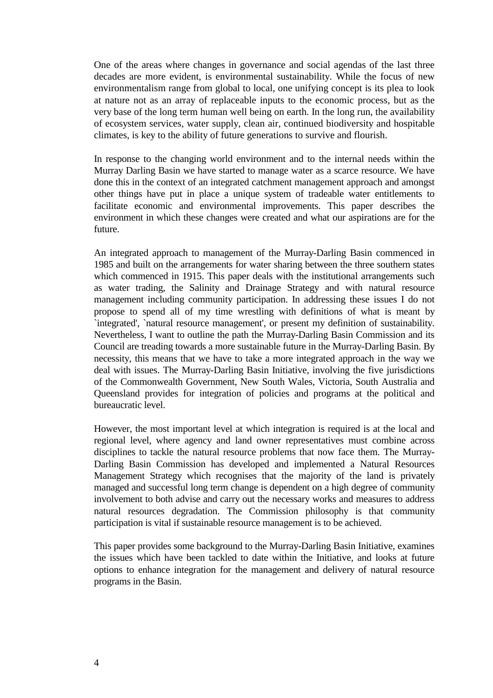One of the areas where changes in governance and social agendas of the last three decades are more evident, is environmental sustainability. While the focus of new environmentalism range from global to local, one unifying concept is its plea to look at nature not as an array of replaceable inputs to the economic process, but as the very base of the long term human well being on earth. In the long run, the availability of ecosystem services, water supply, clean air, continued biodiversity and hospitable climates, is key to the ability of future generations to survive and flourish.

In response to the changing world environment and to the internal needs within the Murray Darling Basin we have started to manage water as a scarce resource. We have done this in the context of an integrated catchment management approach and amongst other things have put in place a unique system of tradeable water entitlements to facilitate economic and environmental improvements. This paper describes the environment in which these changes were created and what our aspirations are for the future.

An integrated approach to management of the Murray-Darling Basin commenced in 1985 and built on the arrangements for water sharing between the three southern states which commenced in 1915. This paper deals with the institutional arrangements such as water trading, the Salinity and Drainage Strategy and with natural resource management including community participation. In addressing these issues I do not propose to spend all of my time wrestling with definitions of what is meant by `integrated', `natural resource management', or present my definition of sustainability. Nevertheless, I want to outline the path the Murray-Darling Basin Commission and its Council are treading towards a more sustainable future in the Murray-Darling Basin. By necessity, this means that we have to take a more integrated approach in the way we deal with issues. The Murray-Darling Basin Initiative, involving the five jurisdictions of the Commonwealth Government, New South Wales, Victoria, South Australia and Queensland provides for integration of policies and programs at the political and bureaucratic level.

However, the most important level at which integration is required is at the local and regional level, where agency and land owner representatives must combine across disciplines to tackle the natural resource problems that now face them. The Murray-Darling Basin Commission has developed and implemented a Natural Resources Management Strategy which recognises that the majority of the land is privately managed and successful long term change is dependent on a high degree of community involvement to both advise and carry out the necessary works and measures to address natural resources degradation. The Commission philosophy is that community participation is vital if sustainable resource management is to be achieved.

This paper provides some background to the Murray-Darling Basin Initiative, examines the issues which have been tackled to date within the Initiative, and looks at future options to enhance integration for the management and delivery of natural resource programs in the Basin.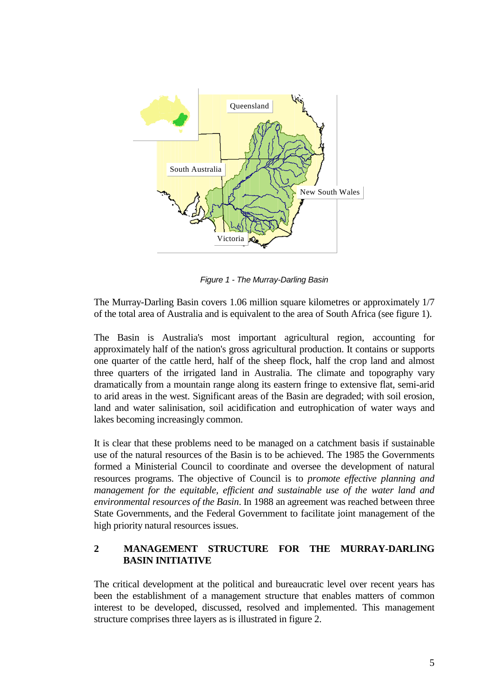

*Figure 1 - The Murray-Darling Basin*

The Murray-Darling Basin covers 1.06 million square kilometres or approximately 1/7 of the total area of Australia and is equivalent to the area of South Africa (see figure 1).

The Basin is Australia's most important agricultural region, accounting for approximately half of the nation's gross agricultural production. It contains or supports one quarter of the cattle herd, half of the sheep flock, half the crop land and almost three quarters of the irrigated land in Australia. The climate and topography vary dramatically from a mountain range along its eastern fringe to extensive flat, semi-arid to arid areas in the west. Significant areas of the Basin are degraded; with soil erosion, land and water salinisation, soil acidification and eutrophication of water ways and lakes becoming increasingly common.

It is clear that these problems need to be managed on a catchment basis if sustainable use of the natural resources of the Basin is to be achieved. The 1985 the Governments formed a Ministerial Council to coordinate and oversee the development of natural resources programs. The objective of Council is to *promote effective planning and management for the equitable, efficient and sustainable use of the water land and environmental resources of the Basin*. In 1988 an agreement was reached between three State Governments, and the Federal Government to facilitate joint management of the high priority natural resources issues.

### **2 MANAGEMENT STRUCTURE FOR THE MURRAY-DARLING BASIN INITIATIVE**

The critical development at the political and bureaucratic level over recent years has been the establishment of a management structure that enables matters of common interest to be developed, discussed, resolved and implemented. This management structure comprises three layers as is illustrated in figure 2.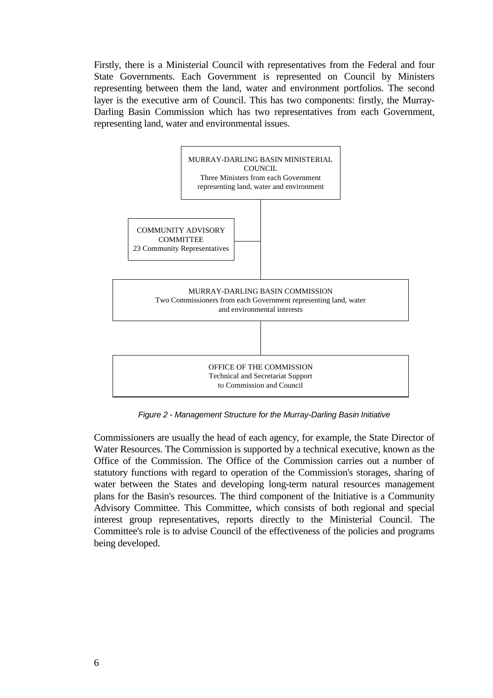Firstly, there is a Ministerial Council with representatives from the Federal and four State Governments. Each Government is represented on Council by Ministers representing between them the land, water and environment portfolios. The second layer is the executive arm of Council. This has two components: firstly, the Murray-Darling Basin Commission which has two representatives from each Government, representing land, water and environmental issues.



*Figure 2 - Management Structure for the Murray-Darling Basin Initiative*

Commissioners are usually the head of each agency, for example, the State Director of Water Resources. The Commission is supported by a technical executive, known as the Office of the Commission. The Office of the Commission carries out a number of statutory functions with regard to operation of the Commission's storages, sharing of water between the States and developing long-term natural resources management plans for the Basin's resources. The third component of the Initiative is a Community Advisory Committee. This Committee, which consists of both regional and special interest group representatives, reports directly to the Ministerial Council. The Committee's role is to advise Council of the effectiveness of the policies and programs being developed.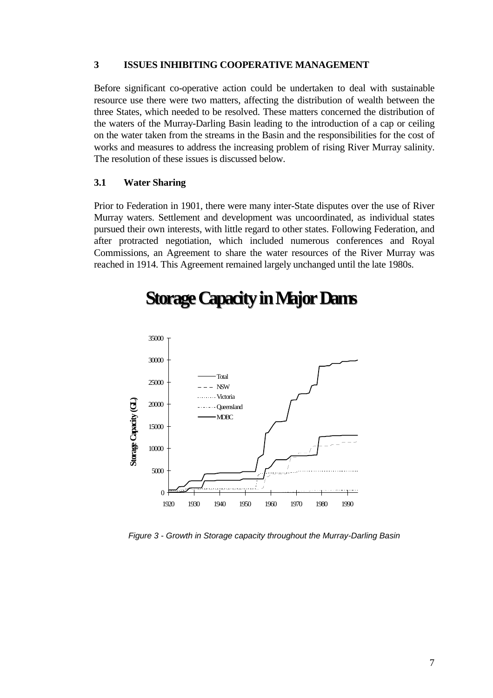#### **3 ISSUES INHIBITING COOPERATIVE MANAGEMENT**

Before significant co-operative action could be undertaken to deal with sustainable resource use there were two matters, affecting the distribution of wealth between the three States, which needed to be resolved. These matters concerned the distribution of the waters of the Murray-Darling Basin leading to the introduction of a cap or ceiling on the water taken from the streams in the Basin and the responsibilities for the cost of works and measures to address the increasing problem of rising River Murray salinity. The resolution of these issues is discussed below.

#### **3.1 Water Sharing**

Prior to Federation in 1901, there were many inter-State disputes over the use of River Murray waters. Settlement and development was uncoordinated, as individual states pursued their own interests, with little regard to other states. Following Federation, and after protracted negotiation, which included numerous conferences and Royal Commissions, an Agreement to share the water resources of the River Murray was reached in 1914. This Agreement remained largely unchanged until the late 1980s.



# **Storage Capacity in Major Dams**

*Figure 3 - Growth in Storage capacity throughout the Murray-Darling Basin*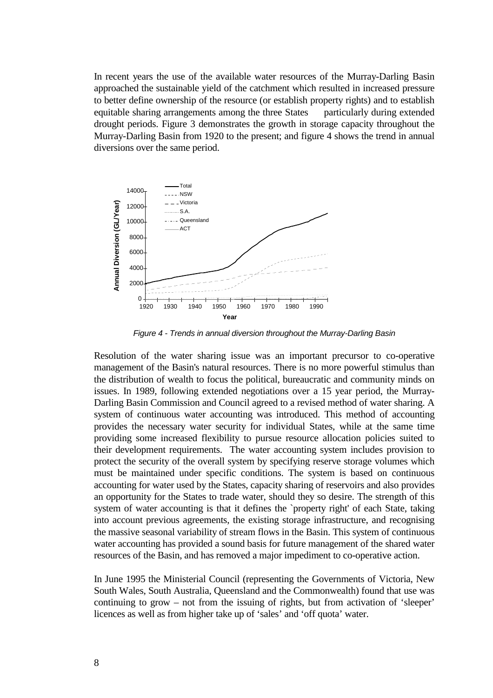In recent years the use of the available water resources of the Murray-Darling Basin approached the sustainable yield of the catchment which resulted in increased pressure to better define ownership of the resource (or establish property rights) and to establish equitable sharing arrangements among the three States — particularly during extended drought periods. Figure 3 demonstrates the growth in storage capacity throughout the Murray-Darling Basin from 1920 to the present; and figure 4 shows the trend in annual diversions over the same period.



*Figure 4 - Trends in annual diversion throughout the Murray-Darling Basin*

Resolution of the water sharing issue was an important precursor to co-operative management of the Basin's natural resources. There is no more powerful stimulus than the distribution of wealth to focus the political, bureaucratic and community minds on issues. In 1989, following extended negotiations over a 15 year period, the Murray-Darling Basin Commission and Council agreed to a revised method of water sharing. A system of continuous water accounting was introduced. This method of accounting provides the necessary water security for individual States, while at the same time providing some increased flexibility to pursue resource allocation policies suited to their development requirements. The water accounting system includes provision to protect the security of the overall system by specifying reserve storage volumes which must be maintained under specific conditions. The system is based on continuous accounting for water used by the States, capacity sharing of reservoirs and also provides an opportunity for the States to trade water, should they so desire. The strength of this system of water accounting is that it defines the `property right' of each State, taking into account previous agreements, the existing storage infrastructure, and recognising the massive seasonal variability of stream flows in the Basin. This system of continuous water accounting has provided a sound basis for future management of the shared water resources of the Basin, and has removed a major impediment to co-operative action.

In June 1995 the Ministerial Council (representing the Governments of Victoria, New South Wales, South Australia, Queensland and the Commonwealth) found that use was continuing to grow – not from the issuing of rights, but from activation of 'sleeper' licences as well as from higher take up of 'sales' and 'off quota' water.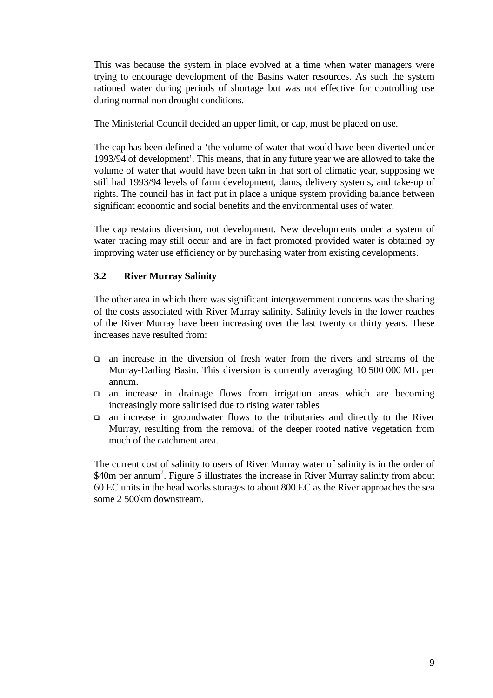This was because the system in place evolved at a time when water managers were trying to encourage development of the Basins water resources. As such the system rationed water during periods of shortage but was not effective for controlling use during normal non drought conditions.

The Ministerial Council decided an upper limit, or cap, must be placed on use.

The cap has been defined a 'the volume of water that would have been diverted under 1993/94 of development'. This means, that in any future year we are allowed to take the volume of water that would have been takn in that sort of climatic year, supposing we still had 1993/94 levels of farm development, dams, delivery systems, and take-up of rights. The council has in fact put in place a unique system providing balance between significant economic and social benefits and the environmental uses of water.

The cap restains diversion, not development. New developments under a system of water trading may still occur and are in fact promoted provided water is obtained by improving water use efficiency or by purchasing water from existing developments.

# **3.2 River Murray Salinity**

The other area in which there was significant intergovernment concerns was the sharing of the costs associated with River Murray salinity. Salinity levels in the lower reaches of the River Murray have been increasing over the last twenty or thirty years. These increases have resulted from:

- $\Box$  an increase in the diversion of fresh water from the rivers and streams of the Murray-Darling Basin. This diversion is currently averaging 10 500 000 ML per annum.
- ! an increase in drainage flows from irrigation areas which are becoming increasingly more salinised due to rising water tables
- $\Box$  an increase in groundwater flows to the tributaries and directly to the River Murray, resulting from the removal of the deeper rooted native vegetation from much of the catchment area.

The current cost of salinity to users of River Murray water of salinity is in the order of \$40m per annum<sup>2</sup>. Figure 5 illustrates the increase in River Murray salinity from about 60 EC units in the head works storages to about 800 EC as the River approaches the sea some 2 500km downstream.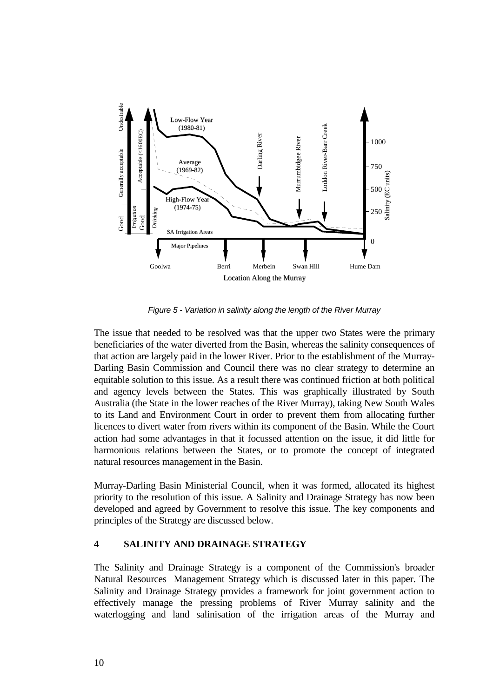

*Figure 5 - Variation in salinity along the length of the River Murray*

The issue that needed to be resolved was that the upper two States were the primary beneficiaries of the water diverted from the Basin, whereas the salinity consequences of that action are largely paid in the lower River. Prior to the establishment of the Murray-Darling Basin Commission and Council there was no clear strategy to determine an equitable solution to this issue. As a result there was continued friction at both political and agency levels between the States. This was graphically illustrated by South Australia (the State in the lower reaches of the River Murray), taking New South Wales to its Land and Environment Court in order to prevent them from allocating further licences to divert water from rivers within its component of the Basin. While the Court action had some advantages in that it focussed attention on the issue, it did little for harmonious relations between the States, or to promote the concept of integrated natural resources management in the Basin.

Murray-Darling Basin Ministerial Council, when it was formed, allocated its highest priority to the resolution of this issue. A Salinity and Drainage Strategy has now been developed and agreed by Government to resolve this issue. The key components and principles of the Strategy are discussed below.

### **4 SALINITY AND DRAINAGE STRATEGY**

The Salinity and Drainage Strategy is a component of the Commission's broader Natural Resources Management Strategy which is discussed later in this paper. The Salinity and Drainage Strategy provides a framework for joint government action to effectively manage the pressing problems of River Murray salinity and the waterlogging and land salinisation of the irrigation areas of the Murray and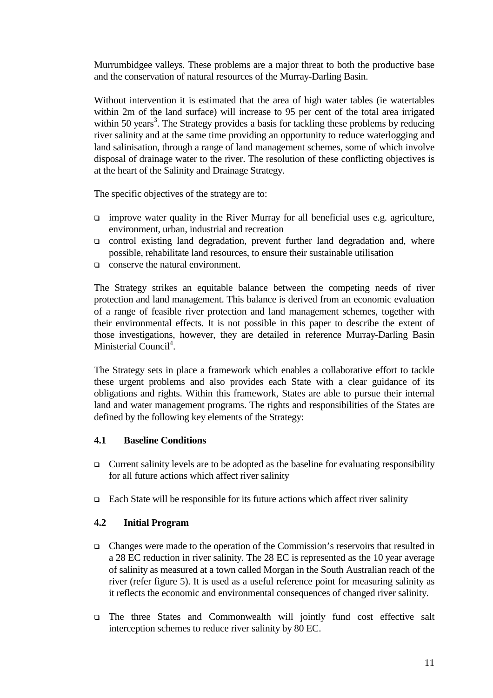Murrumbidgee valleys. These problems are a major threat to both the productive base and the conservation of natural resources of the Murray-Darling Basin.

Without intervention it is estimated that the area of high water tables (ie watertables within 2m of the land surface) will increase to 95 per cent of the total area irrigated within 50 years<sup>3</sup>. The Strategy provides a basis for tackling these problems by reducing river salinity and at the same time providing an opportunity to reduce waterlogging and land salinisation, through a range of land management schemes, some of which involve disposal of drainage water to the river. The resolution of these conflicting objectives is at the heart of the Salinity and Drainage Strategy.

The specific objectives of the strategy are to:

- $\Box$  improve water quality in the River Murray for all beneficial uses e.g. agriculture, environment, urban, industrial and recreation
- $\Box$  control existing land degradation, prevent further land degradation and, where possible, rehabilitate land resources, to ensure their sustainable utilisation
- $\Box$  conserve the natural environment.

The Strategy strikes an equitable balance between the competing needs of river protection and land management. This balance is derived from an economic evaluation of a range of feasible river protection and land management schemes, together with their environmental effects. It is not possible in this paper to describe the extent of those investigations, however, they are detailed in reference Murray-Darling Basin Ministerial Council<sup>4</sup>.

The Strategy sets in place a framework which enables a collaborative effort to tackle these urgent problems and also provides each State with a clear guidance of its obligations and rights. Within this framework, States are able to pursue their internal land and water management programs. The rights and responsibilities of the States are defined by the following key elements of the Strategy:

### **4.1 Baseline Conditions**

- $\Box$  Current salinity levels are to be adopted as the baseline for evaluating responsibility for all future actions which affect river salinity
- $\Box$  Each State will be responsible for its future actions which affect river salinity

### **4.2 Initial Program**

- ! Changes were made to the operation of the Commission's reservoirs that resulted in a 28 EC reduction in river salinity. The 28 EC is represented as the 10 year average of salinity as measured at a town called Morgan in the South Australian reach of the river (refer figure 5). It is used as a useful reference point for measuring salinity as it reflects the economic and environmental consequences of changed river salinity.
- ! The three States and Commonwealth will jointly fund cost effective salt interception schemes to reduce river salinity by 80 EC.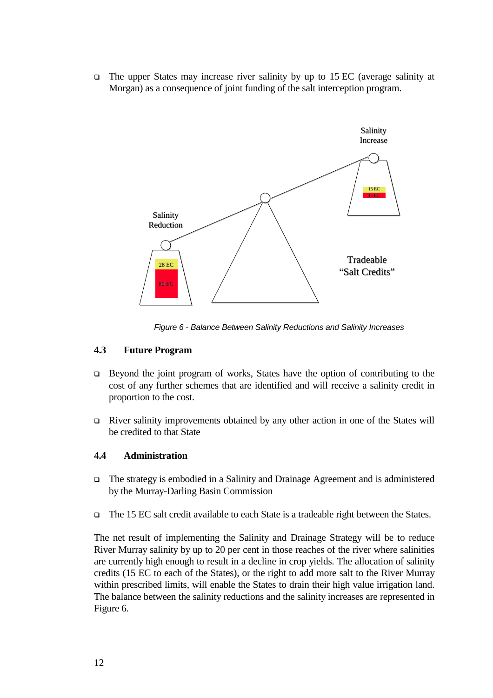$\Box$  The upper States may increase river salinity by up to 15 EC (average salinity at Morgan) as a consequence of joint funding of the salt interception program.



*Figure 6 - Balance Between Salinity Reductions and Salinity Increases*

#### **4.3 Future Program**

- $\Box$  Beyond the joint program of works, States have the option of contributing to the cost of any further schemes that are identified and will receive a salinity credit in proportion to the cost.
- ! River salinity improvements obtained by any other action in one of the States will be credited to that State

#### **4.4 Administration**

- ! The strategy is embodied in a Salinity and Drainage Agreement and is administered by the Murray-Darling Basin Commission
- □ The 15 EC salt credit available to each State is a tradeable right between the States.

The net result of implementing the Salinity and Drainage Strategy will be to reduce River Murray salinity by up to 20 per cent in those reaches of the river where salinities are currently high enough to result in a decline in crop yields. The allocation of salinity credits (15 EC to each of the States), or the right to add more salt to the River Murray within prescribed limits, will enable the States to drain their high value irrigation land. The balance between the salinity reductions and the salinity increases are represented in Figure 6.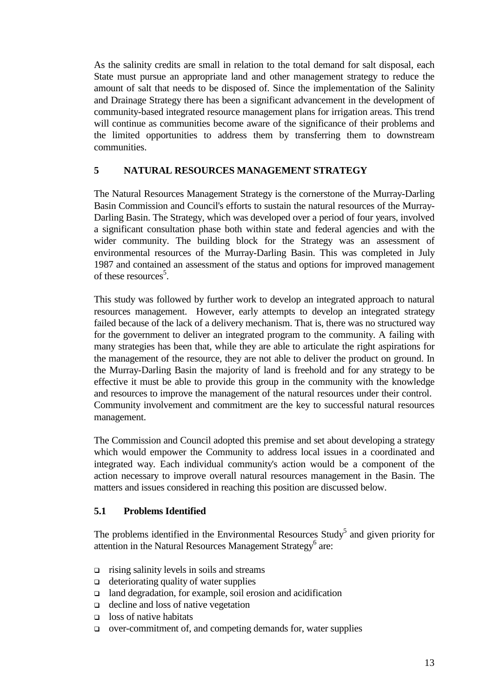As the salinity credits are small in relation to the total demand for salt disposal, each State must pursue an appropriate land and other management strategy to reduce the amount of salt that needs to be disposed of. Since the implementation of the Salinity and Drainage Strategy there has been a significant advancement in the development of community-based integrated resource management plans for irrigation areas. This trend will continue as communities become aware of the significance of their problems and the limited opportunities to address them by transferring them to downstream communities.

### **5 NATURAL RESOURCES MANAGEMENT STRATEGY**

The Natural Resources Management Strategy is the cornerstone of the Murray-Darling Basin Commission and Council's efforts to sustain the natural resources of the Murray-Darling Basin. The Strategy, which was developed over a period of four years, involved a significant consultation phase both within state and federal agencies and with the wider community. The building block for the Strategy was an assessment of environmental resources of the Murray-Darling Basin. This was completed in July 1987 and contained an assessment of the status and options for improved management of these resources<sup>5</sup>.

This study was followed by further work to develop an integrated approach to natural resources management. However, early attempts to develop an integrated strategy failed because of the lack of a delivery mechanism. That is, there was no structured way for the government to deliver an integrated program to the community. A failing with many strategies has been that, while they are able to articulate the right aspirations for the management of the resource, they are not able to deliver the product on ground. In the Murray-Darling Basin the majority of land is freehold and for any strategy to be effective it must be able to provide this group in the community with the knowledge and resources to improve the management of the natural resources under their control. Community involvement and commitment are the key to successful natural resources management.

The Commission and Council adopted this premise and set about developing a strategy which would empower the Community to address local issues in a coordinated and integrated way. Each individual community's action would be a component of the action necessary to improve overall natural resources management in the Basin. The matters and issues considered in reaching this position are discussed below.

### **5.1 Problems Identified**

The problems identified in the Environmental Resources Study<sup>5</sup> and given priority for attention in the Natural Resources Management Strategy<sup>6</sup> are:

- $\Box$  rising salinity levels in soils and streams
- $\Box$  deteriorating quality of water supplies
- □ land degradation, for example, soil erosion and acidification
- □ decline and loss of native vegetation
- $\Box$  loss of native habitats
- ! over-commitment of, and competing demands for, water supplies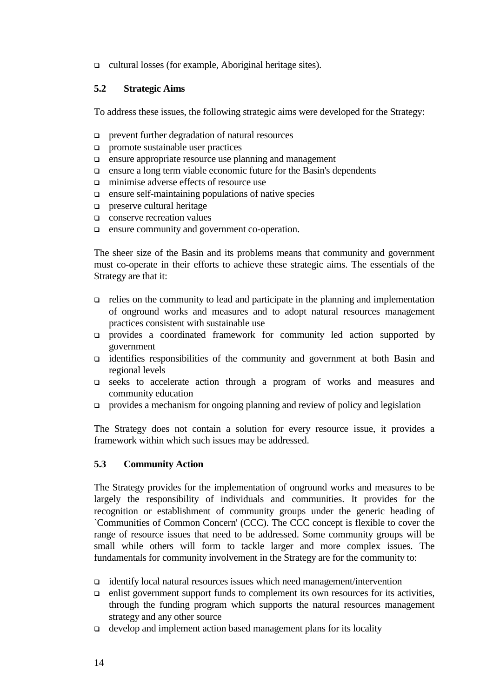! cultural losses (for example, Aboriginal heritage sites).

#### **5.2 Strategic Aims**

To address these issues, the following strategic aims were developed for the Strategy:

- ! prevent further degradation of natural resources
- $\Box$  promote sustainable user practices
- ! ensure appropriate resource use planning and management
- ! ensure a long term viable economic future for the Basin's dependents
- $\Box$  minimise adverse effects of resource use
- $\Box$  ensure self-maintaining populations of native species
- $\Box$  preserve cultural heritage
- □ conserve recreation values
- ! ensure community and government co-operation.

The sheer size of the Basin and its problems means that community and government must co-operate in their efforts to achieve these strategic aims. The essentials of the Strategy are that it:

- $\Box$  relies on the community to lead and participate in the planning and implementation of onground works and measures and to adopt natural resources management practices consistent with sustainable use
- ! provides a coordinated framework for community led action supported by government
- ! identifies responsibilities of the community and government at both Basin and regional levels
- ! seeks to accelerate action through a program of works and measures and community education
- ! provides a mechanism for ongoing planning and review of policy and legislation

The Strategy does not contain a solution for every resource issue, it provides a framework within which such issues may be addressed.

### **5.3 Community Action**

The Strategy provides for the implementation of onground works and measures to be largely the responsibility of individuals and communities. It provides for the recognition or establishment of community groups under the generic heading of `Communities of Common Concern' (CCC). The CCC concept is flexible to cover the range of resource issues that need to be addressed. Some community groups will be small while others will form to tackle larger and more complex issues. The fundamentals for community involvement in the Strategy are for the community to:

- $\Box$  identify local natural resources issues which need management/intervention
- $\Box$  enlist government support funds to complement its own resources for its activities, through the funding program which supports the natural resources management strategy and any other source
- $\Box$  develop and implement action based management plans for its locality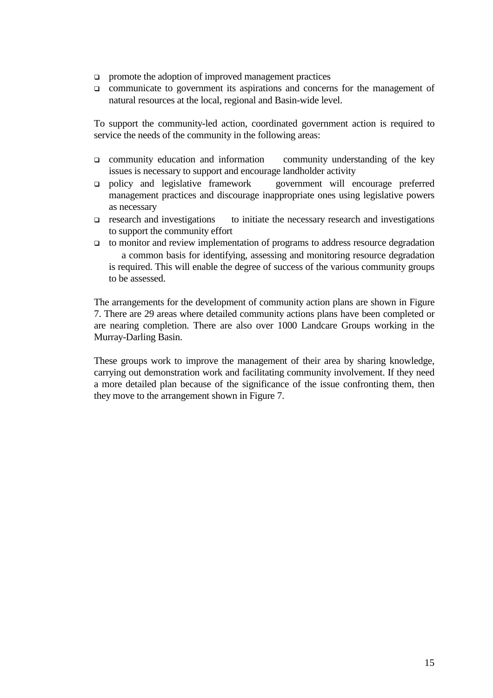- $\Box$  promote the adoption of improved management practices
- $\Box$  communicate to government its aspirations and concerns for the management of natural resources at the local, regional and Basin-wide level.

To support the community-led action, coordinated government action is required to service the needs of the community in the following areas:

- $\Box$  community education and information community understanding of the key issues is necessary to support and encourage landholder activity
- $\Box$  policy and legislative framework government will encourage preferred management practices and discourage inappropriate ones using legislative powers as necessary
- $\Box$  research and investigations to initiate the necessary research and investigations to support the community effort
- $\Box$  to monitor and review implementation of programs to address resource degradation a common basis for identifying, assessing and monitoring resource degradation is required. This will enable the degree of success of the various community groups to be assessed.

The arrangements for the development of community action plans are shown in Figure 7. There are 29 areas where detailed community actions plans have been completed or are nearing completion. There are also over 1000 Landcare Groups working in the Murray-Darling Basin.

These groups work to improve the management of their area by sharing knowledge, carrying out demonstration work and facilitating community involvement. If they need a more detailed plan because of the significance of the issue confronting them, then they move to the arrangement shown in Figure 7.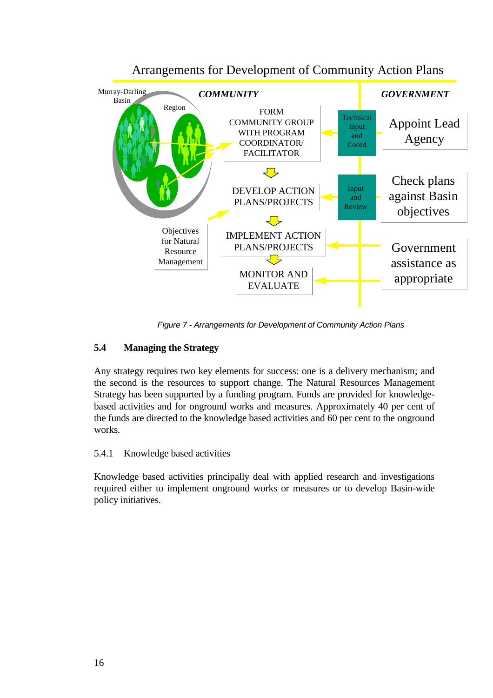

# Arrangements for Development of Community Action Plans

*Figure 7 - Arrangements for Development of Community Action Plans*

# **5.4 Managing the Strategy**

Any strategy requires two key elements for success: one is a delivery mechanism; and the second is the resources to support change. The Natural Resources Management Strategy has been supported by a funding program. Funds are provided for knowledgebased activities and for onground works and measures. Approximately 40 per cent of the funds are directed to the knowledge based activities and 60 per cent to the onground works.

### 5.4.1 Knowledge based activities

Knowledge based activities principally deal with applied research and investigations required either to implement onground works or measures or to develop Basin-wide policy initiatives.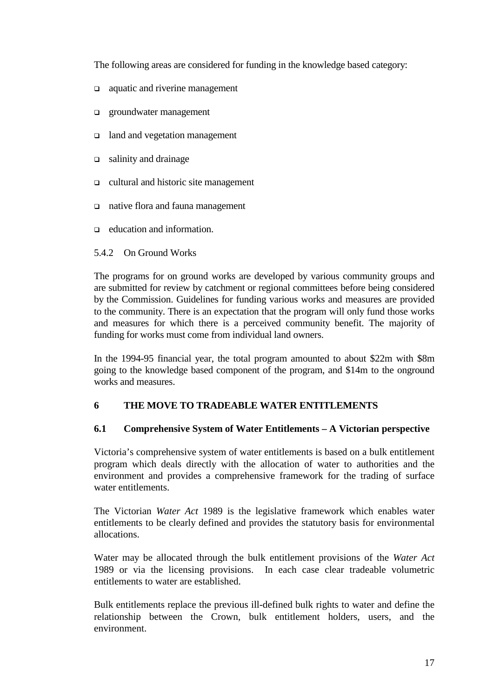The following areas are considered for funding in the knowledge based category:

- $\Box$  aquatic and riverine management
- $\Box$  groundwater management
- □ land and vegetation management
- $\Box$  salinity and drainage
- ! cultural and historic site management
- □ native flora and fauna management
- $\Box$  education and information.

#### 5.4.2 On Ground Works

The programs for on ground works are developed by various community groups and are submitted for review by catchment or regional committees before being considered by the Commission. Guidelines for funding various works and measures are provided to the community. There is an expectation that the program will only fund those works and measures for which there is a perceived community benefit. The majority of funding for works must come from individual land owners.

In the 1994-95 financial year, the total program amounted to about \$22m with \$8m going to the knowledge based component of the program, and \$14m to the onground works and measures.

### **6 THE MOVE TO TRADEABLE WATER ENTITLEMENTS**

#### **6.1 Comprehensive System of Water Entitlements – A Victorian perspective**

Victoria's comprehensive system of water entitlements is based on a bulk entitlement program which deals directly with the allocation of water to authorities and the environment and provides a comprehensive framework for the trading of surface water entitlements.

The Victorian *Water Act* 1989 is the legislative framework which enables water entitlements to be clearly defined and provides the statutory basis for environmental allocations.

Water may be allocated through the bulk entitlement provisions of the *Water Act* 1989 or via the licensing provisions. In each case clear tradeable volumetric entitlements to water are established.

Bulk entitlements replace the previous ill-defined bulk rights to water and define the relationship between the Crown, bulk entitlement holders, users, and the environment.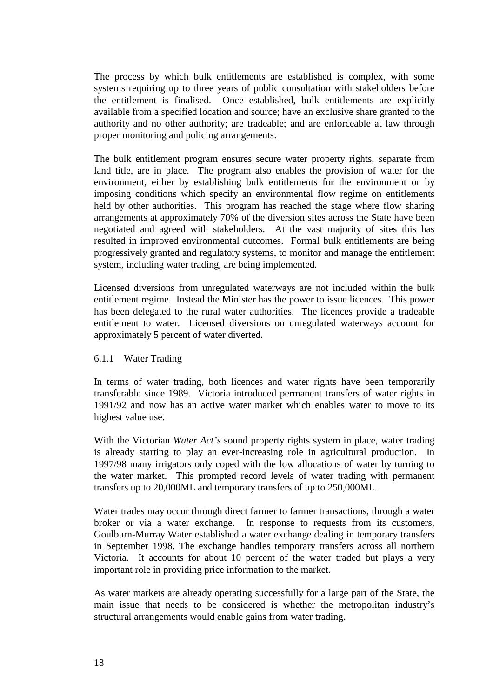The process by which bulk entitlements are established is complex, with some systems requiring up to three years of public consultation with stakeholders before the entitlement is finalised. Once established, bulk entitlements are explicitly available from a specified location and source; have an exclusive share granted to the authority and no other authority; are tradeable; and are enforceable at law through proper monitoring and policing arrangements.

The bulk entitlement program ensures secure water property rights, separate from land title, are in place. The program also enables the provision of water for the environment, either by establishing bulk entitlements for the environment or by imposing conditions which specify an environmental flow regime on entitlements held by other authorities. This program has reached the stage where flow sharing arrangements at approximately 70% of the diversion sites across the State have been negotiated and agreed with stakeholders. At the vast majority of sites this has resulted in improved environmental outcomes. Formal bulk entitlements are being progressively granted and regulatory systems, to monitor and manage the entitlement system, including water trading, are being implemented.

Licensed diversions from unregulated waterways are not included within the bulk entitlement regime. Instead the Minister has the power to issue licences. This power has been delegated to the rural water authorities. The licences provide a tradeable entitlement to water. Licensed diversions on unregulated waterways account for approximately 5 percent of water diverted.

#### 6.1.1 Water Trading

In terms of water trading, both licences and water rights have been temporarily transferable since 1989. Victoria introduced permanent transfers of water rights in 1991/92 and now has an active water market which enables water to move to its highest value use.

With the Victorian *Water Act's* sound property rights system in place, water trading is already starting to play an ever-increasing role in agricultural production. In 1997/98 many irrigators only coped with the low allocations of water by turning to the water market. This prompted record levels of water trading with permanent transfers up to 20,000ML and temporary transfers of up to 250,000ML.

Water trades may occur through direct farmer to farmer transactions, through a water broker or via a water exchange. In response to requests from its customers, Goulburn-Murray Water established a water exchange dealing in temporary transfers in September 1998. The exchange handles temporary transfers across all northern Victoria. It accounts for about 10 percent of the water traded but plays a very important role in providing price information to the market.

As water markets are already operating successfully for a large part of the State, the main issue that needs to be considered is whether the metropolitan industry's structural arrangements would enable gains from water trading.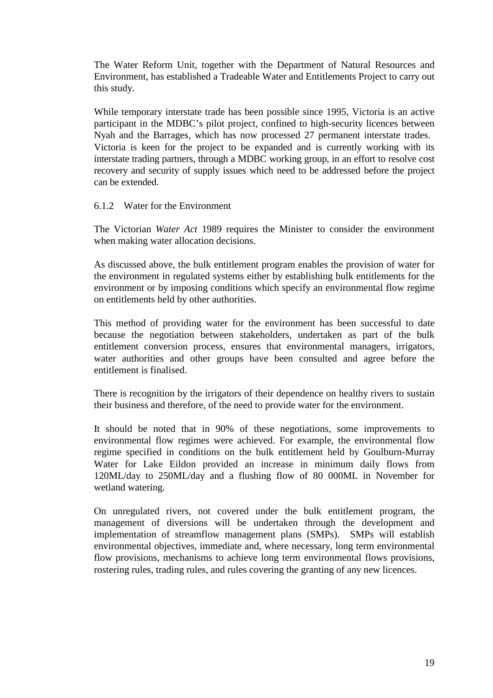The Water Reform Unit, together with the Department of Natural Resources and Environment, has established a Tradeable Water and Entitlements Project to carry out this study.

While temporary interstate trade has been possible since 1995, Victoria is an active participant in the MDBC's pilot project, confined to high-security licences between Nyah and the Barrages, which has now processed 27 permanent interstate trades. Victoria is keen for the project to be expanded and is currently working with its interstate trading partners, through a MDBC working group, in an effort to resolve cost recovery and security of supply issues which need to be addressed before the project can be extended.

#### 6.1.2 Water for the Environment

The Victorian *Water Act* 1989 requires the Minister to consider the environment when making water allocation decisions.

As discussed above, the bulk entitlement program enables the provision of water for the environment in regulated systems either by establishing bulk entitlements for the environment or by imposing conditions which specify an environmental flow regime on entitlements held by other authorities.

This method of providing water for the environment has been successful to date because the negotiation between stakeholders, undertaken as part of the bulk entitlement conversion process, ensures that environmental managers, irrigators, water authorities and other groups have been consulted and agree before the entitlement is finalised.

There is recognition by the irrigators of their dependence on healthy rivers to sustain their business and therefore, of the need to provide water for the environment.

It should be noted that in 90% of these negotiations, some improvements to environmental flow regimes were achieved. For example, the environmental flow regime specified in conditions on the bulk entitlement held by Goulburn-Murray Water for Lake Eildon provided an increase in minimum daily flows from 120ML/day to 250ML/day and a flushing flow of 80 000ML in November for wetland watering.

On unregulated rivers, not covered under the bulk entitlement program, the management of diversions will be undertaken through the development and implementation of streamflow management plans (SMPs). SMPs will establish environmental objectives, immediate and, where necessary, long term environmental flow provisions, mechanisms to achieve long term environmental flows provisions, rostering rules, trading rules, and rules covering the granting of any new licences.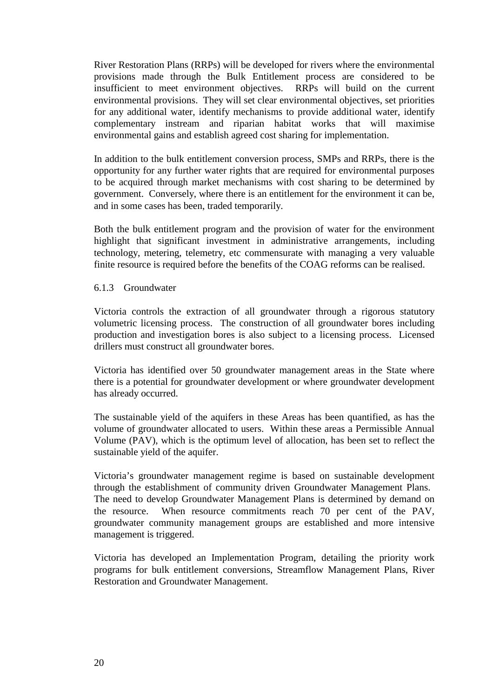River Restoration Plans (RRPs) will be developed for rivers where the environmental provisions made through the Bulk Entitlement process are considered to be insufficient to meet environment objectives. RRPs will build on the current environmental provisions. They will set clear environmental objectives, set priorities for any additional water, identify mechanisms to provide additional water, identify complementary instream and riparian habitat works that will maximise environmental gains and establish agreed cost sharing for implementation.

In addition to the bulk entitlement conversion process, SMPs and RRPs, there is the opportunity for any further water rights that are required for environmental purposes to be acquired through market mechanisms with cost sharing to be determined by government. Conversely, where there is an entitlement for the environment it can be, and in some cases has been, traded temporarily.

Both the bulk entitlement program and the provision of water for the environment highlight that significant investment in administrative arrangements, including technology, metering, telemetry, etc commensurate with managing a very valuable finite resource is required before the benefits of the COAG reforms can be realised.

#### 6.1.3 Groundwater

Victoria controls the extraction of all groundwater through a rigorous statutory volumetric licensing process. The construction of all groundwater bores including production and investigation bores is also subject to a licensing process. Licensed drillers must construct all groundwater bores.

Victoria has identified over 50 groundwater management areas in the State where there is a potential for groundwater development or where groundwater development has already occurred.

The sustainable yield of the aquifers in these Areas has been quantified, as has the volume of groundwater allocated to users. Within these areas a Permissible Annual Volume (PAV), which is the optimum level of allocation, has been set to reflect the sustainable yield of the aquifer.

Victoria's groundwater management regime is based on sustainable development through the establishment of community driven Groundwater Management Plans. The need to develop Groundwater Management Plans is determined by demand on the resource. When resource commitments reach 70 per cent of the PAV, groundwater community management groups are established and more intensive management is triggered.

Victoria has developed an Implementation Program, detailing the priority work programs for bulk entitlement conversions, Streamflow Management Plans, River Restoration and Groundwater Management.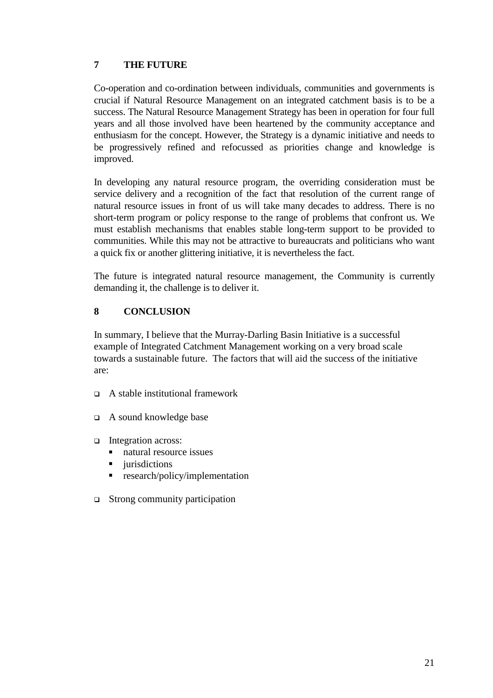# **7 THE FUTURE**

Co-operation and co-ordination between individuals, communities and governments is crucial if Natural Resource Management on an integrated catchment basis is to be a success. The Natural Resource Management Strategy has been in operation for four full years and all those involved have been heartened by the community acceptance and enthusiasm for the concept. However, the Strategy is a dynamic initiative and needs to be progressively refined and refocussed as priorities change and knowledge is improved.

In developing any natural resource program, the overriding consideration must be service delivery and a recognition of the fact that resolution of the current range of natural resource issues in front of us will take many decades to address. There is no short-term program or policy response to the range of problems that confront us. We must establish mechanisms that enables stable long-term support to be provided to communities. While this may not be attractive to bureaucrats and politicians who want a quick fix or another glittering initiative, it is nevertheless the fact.

The future is integrated natural resource management, the Community is currently demanding it, the challenge is to deliver it.

# **8 CONCLUSION**

In summary, I believe that the Murray-Darling Basin Initiative is a successful example of Integrated Catchment Management working on a very broad scale towards a sustainable future. The factors that will aid the success of the initiative are:

- $\Box$  A stable institutional framework
- $\Box$  A sound knowledge base
- Integration across:
	- natural resource issues
	- jurisdictions
	- **EXECUTE:** research/policy/implementation
- $\Box$  Strong community participation